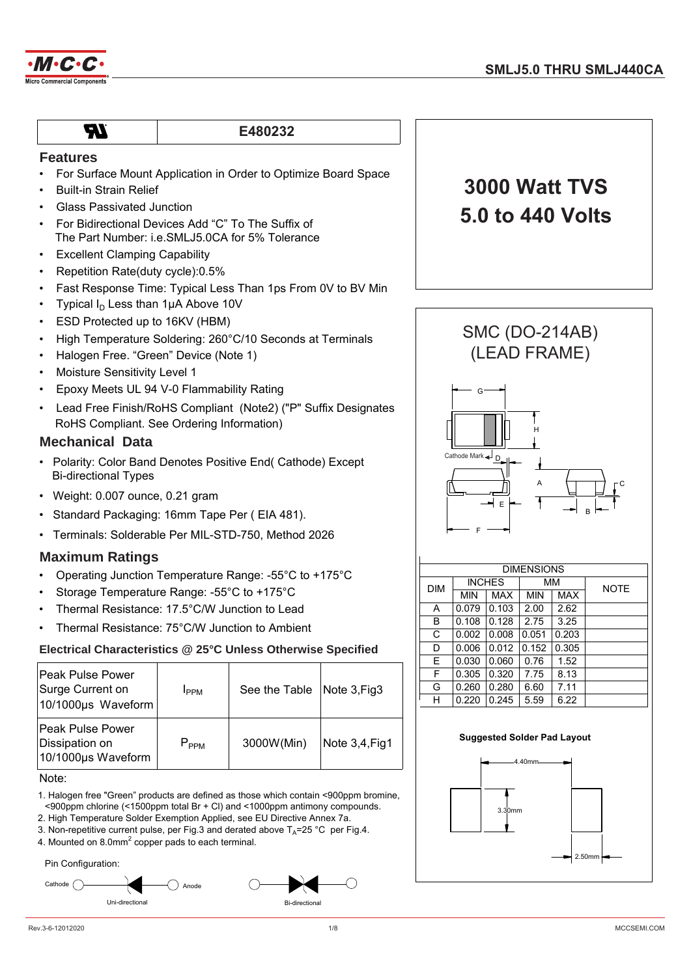

## **E480232**

### **Features**

- For Surface Mount Application in Order to Optimize Board Space
- Built-in Strain Relief

**TR** 

- Glass Passivated Junction
- For Bidirectional Devices Add "C" To The Suffix of The Part Number: i.e.SMLJ5.0CA for 5% Tolerance
- **Excellent Clamping Capability**
- Repetition Rate(duty cycle):0.5%
- Fast Response Time: Typical Less Than 1ps From 0V to BV Min
- Typical  $I_D$  Less than 1µA Above 10V
- ESD Protected up to 16KV (HBM)
- High Temperature Soldering: 260°C/10 Seconds at Terminals
- Halogen Free. "Green" Device (Note 1)
- Moisture Sensitivity Level 1
- Epoxy Meets UL 94 V-0 Flammability Rating
- Lead Free Finish/RoHS Compliant (Note2) ("P" Suffix Designates RoHS Compliant. See Ordering Information)

#### **Mechanical Data**

- Polarity: Color Band Denotes Positive End( Cathode) Except Bi-directional Types
- Weight: 0.007 ounce, 0.21 gram
- Standard Packaging: 16mm Tape Per ( EIA 481).
- Terminals: Solderable Per MIL-STD-750, Method 2026

### **Maximum Ratings**

- Operating Junction Temperature Range: -55°C to +175°C
- Storage Temperature Range: -55°C to +175°C
- Thermal Resistance: 17.5°C/W Junction to Lead
- Thermal Resistance: 75°C/W Junction to Ambient

#### **Electrical Characteristics @ 25°C Unless Otherwise Specified**

| lPeak Pulse Power<br>Surge Current on<br>10/1000µs Waveform | <b>I</b> <sub>PPM</sub> | See the Table Note 3, Fig3 |                |
|-------------------------------------------------------------|-------------------------|----------------------------|----------------|
| Peak Pulse Power<br>Dissipation on<br>10/1000µs Waveform    | $P_{PPM}$               | 3000W(Min)                 | Note 3,4, Fig1 |

Note:

- 1. Halogen free "Green" products are defined as those which contain <900ppm bromine, <900ppm chlorine (<1500ppm total Br + Cl) and <1000ppm antimony compounds.
- 2. High Temperature Solder Exemption Applied, see EU Directive Annex 7a.
- 3. Non-repetitive current pulse, per Fig.3 and derated above  $T_A$ =25 °C per Fig.4.
- 4. Mounted on 8.0mm $^2$  copper pads to each terminal.

Pin Configuration:





# **3000 Watt TVS 5.0 to 440 Volts**



| <b>DIMENSIONS</b> |            |               |            |       |             |  |  |
|-------------------|------------|---------------|------------|-------|-------------|--|--|
| <b>DIM</b>        |            | <b>INCHES</b> |            | ΜМ    | <b>NOTE</b> |  |  |
|                   | <b>MIN</b> | <b>MAX</b>    | <b>MIN</b> | MAX   |             |  |  |
| Α                 | 0.079      | 0.103         | 2.00       | 2.62  |             |  |  |
| B                 | 0.108      | 0.128         | 2.75       | 3.25  |             |  |  |
| C                 | 0.002      | 0.008         | 0.051      | 0.203 |             |  |  |
| D                 | 0.006      | 0.012         | 0.152      | 0.305 |             |  |  |
| E.                | 0.030      | 0.060         | 0.76       | 1.52  |             |  |  |
| F                 | 0.305      | 0.320         | 7.75       | 8.13  |             |  |  |
| G                 | 0.260      | 0.280         | 6.60       | 7.11  |             |  |  |
| н                 | 0.220      | 0.245         | 5.59       | 6.22  |             |  |  |

#### **Suggested Solder Pad Layout**

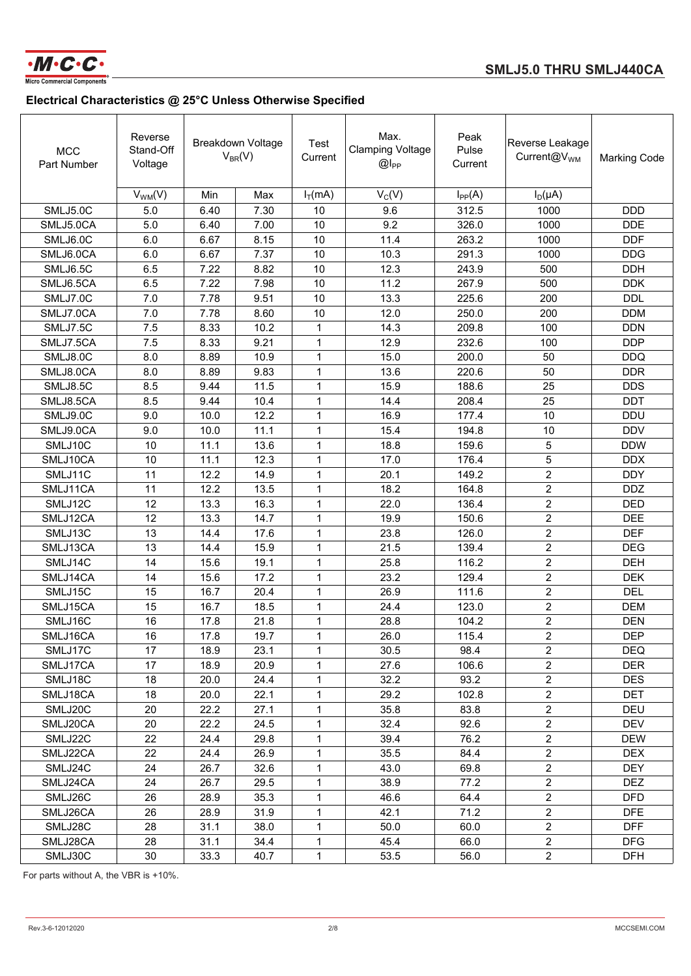

| <b>MCC</b><br>Part Number | Reverse<br>Stand-Off<br>Voltage |      | <b>Breakdown Voltage</b><br>$V_{BR}(V)$ | Test<br>Current | Max.<br><b>Clamping Voltage</b><br>$@I_{PP}$ | Peak<br>Pulse<br>Current | Reverse Leakage<br>Current@V <sub>WM</sub> | <b>Marking Code</b> |
|---------------------------|---------------------------------|------|-----------------------------------------|-----------------|----------------------------------------------|--------------------------|--------------------------------------------|---------------------|
|                           | $V_{WM}(V)$                     | Min  | Max                                     | $I_T(mA)$       | $V_C(V)$                                     | $I_{PP}(A)$              | $I_D(\mu A)$                               |                     |
| SMLJ5.0C                  | 5.0                             | 6.40 | 7.30                                    | 10              | 9.6                                          | 312.5                    | 1000                                       | <b>DDD</b>          |
| SMLJ5.0CA                 | 5.0                             | 6.40 | 7.00                                    | 10              | 9.2                                          | 326.0                    | 1000                                       | <b>DDE</b>          |
| SMLJ6.0C                  | 6.0                             | 6.67 | 8.15                                    | 10              | 11.4                                         | 263.2                    | 1000                                       | <b>DDF</b>          |
| SMLJ6.0CA                 | 6.0                             | 6.67 | 7.37                                    | 10              | 10.3                                         | 291.3                    | 1000                                       | <b>DDG</b>          |
| SMLJ6.5C                  | 6.5                             | 7.22 | 8.82                                    | 10              | 12.3                                         | 243.9                    | 500                                        | <b>DDH</b>          |
| SMLJ6.5CA                 | 6.5                             | 7.22 | 7.98                                    | 10              | 11.2                                         | 267.9                    | 500                                        | <b>DDK</b>          |
| SMLJ7.0C                  | 7.0                             | 7.78 | 9.51                                    | 10              | 13.3                                         | 225.6                    | 200                                        | <b>DDL</b>          |
| SMLJ7.0CA                 | 7.0                             | 7.78 | 8.60                                    | 10              | 12.0                                         | 250.0                    | 200                                        | <b>DDM</b>          |
| SMLJ7.5C                  | 7.5                             | 8.33 | 10.2                                    | 1               | 14.3                                         | 209.8                    | 100                                        | <b>DDN</b>          |
| SMLJ7.5CA                 | 7.5                             | 8.33 | 9.21                                    | $\mathbf{1}$    | 12.9                                         | 232.6                    | 100                                        | <b>DDP</b>          |
| SMLJ8.0C                  | 8.0                             | 8.89 | 10.9                                    | $\mathbf 1$     | 15.0                                         | 200.0                    | 50                                         | <b>DDQ</b>          |
| SMLJ8.0CA                 | 8.0                             | 8.89 | 9.83                                    | $\mathbf{1}$    | 13.6                                         | 220.6                    | 50                                         | <b>DDR</b>          |
| SMLJ8.5C                  | 8.5                             | 9.44 | 11.5                                    | $\mathbf 1$     | 15.9                                         | 188.6                    | 25                                         | <b>DDS</b>          |
| SMLJ8.5CA                 | 8.5                             | 9.44 | 10.4                                    | $\mathbf{1}$    | 14.4                                         | 208.4                    | 25                                         | <b>DDT</b>          |
| SMLJ9.0C                  | 9.0                             | 10.0 | 12.2                                    | $\mathbf{1}$    | 16.9                                         | 177.4                    | 10                                         | <b>DDU</b>          |
| SMLJ9.0CA                 | 9.0                             | 10.0 | 11.1                                    | $\mathbf{1}$    | 15.4                                         | 194.8                    | 10                                         | <b>DDV</b>          |
| SMLJ10C                   | 10                              | 11.1 | 13.6                                    | 1               | 18.8                                         | 159.6                    | 5                                          | <b>DDW</b>          |
| SMLJ10CA                  | 10                              | 11.1 | 12.3                                    | 1               | 17.0                                         | 176.4                    | 5                                          | <b>DDX</b>          |
| SMLJ11C                   | 11                              | 12.2 | 14.9                                    | $\mathbf{1}$    | 20.1                                         | 149.2                    | $\overline{2}$                             | <b>DDY</b>          |
| SMLJ11CA                  | 11                              | 12.2 | 13.5                                    | 1               | 18.2                                         | 164.8                    | $\overline{c}$                             | <b>DDZ</b>          |
| SMLJ12C                   | 12                              | 13.3 | 16.3                                    | $\mathbf{1}$    | 22.0                                         | 136.4                    | $\overline{c}$                             | <b>DED</b>          |
| SMLJ12CA                  | 12                              | 13.3 | 14.7                                    | 1               | 19.9                                         | 150.6                    | $\overline{c}$                             | <b>DEE</b>          |
| SMLJ13C                   | 13                              | 14.4 | 17.6                                    | 1               | 23.8                                         | 126.0                    | $\overline{2}$                             | <b>DEF</b>          |
| SMLJ13CA                  | 13                              | 14.4 | 15.9                                    | 1               | 21.5                                         | 139.4                    | $\overline{2}$                             | <b>DEG</b>          |
| SMLJ14C                   | 14                              | 15.6 | 19.1                                    | 1               | 25.8                                         | 116.2                    | $\overline{c}$                             | <b>DEH</b>          |
| SMLJ14CA                  | 14                              | 15.6 | 17.2                                    | $\mathbf{1}$    | 23.2                                         | 129.4                    | $\overline{c}$                             | <b>DEK</b>          |
| SMLJ15C                   | 15                              | 16.7 | 20.4                                    | $\mathbf{1}$    | 26.9                                         | 111.6                    | $\overline{2}$                             | <b>DEL</b>          |
| SMLJ15CA                  | 15                              | 16.7 | 18.5                                    | 1               | 24.4                                         | 123.0                    | $\overline{c}$                             | <b>DEM</b>          |
| SMLJ16C                   | 16                              | 17.8 | 21.8                                    | 1               | 28.8                                         | 104.2                    | $\overline{c}$                             | <b>DEN</b>          |
| SMLJ16CA                  | 16                              | 17.8 | 19.7                                    | $\mathbf{1}$    | 26.0                                         | 115.4                    | $\overline{a}$                             | <b>DEP</b>          |
| SMLJ17C                   | 17                              | 18.9 | 23.1                                    | 1               | 30.5                                         | 98.4                     | $\sqrt{2}$                                 | DEQ                 |
| SMLJ17CA                  | 17                              | 18.9 | 20.9                                    | 1               | 27.6                                         | 106.6                    | $\overline{2}$                             | <b>DER</b>          |
| SMLJ18C                   | 18                              | 20.0 | 24.4                                    | 1               | 32.2                                         | 93.2                     | $\overline{a}$                             | <b>DES</b>          |
| SMLJ18CA                  | 18                              | 20.0 | 22.1                                    | $\mathbf{1}$    | 29.2                                         | 102.8                    | $\overline{2}$                             | <b>DET</b>          |
| SMLJ20C                   | 20                              | 22.2 | 27.1                                    | $\mathbf{1}$    | 35.8                                         | 83.8                     | $\overline{2}$                             | <b>DEU</b>          |
| SMLJ20CA                  | 20                              | 22.2 | 24.5                                    | $\mathbf{1}$    | 32.4                                         | 92.6                     | $\overline{a}$                             | <b>DEV</b>          |
| SMLJ22C                   | 22                              | 24.4 | 29.8                                    | 1               | 39.4                                         | 76.2                     | $\overline{a}$                             | <b>DEW</b>          |
| SMLJ22CA                  | 22                              | 24.4 | 26.9                                    | 1               | 35.5                                         | 84.4                     | $\overline{2}$                             | <b>DEX</b>          |
| SMLJ24C                   | 24                              | 26.7 | 32.6                                    | $\mathbf{1}$    | 43.0                                         | 69.8                     | $\overline{a}$                             | <b>DEY</b>          |
| SMLJ24CA                  | 24                              | 26.7 | 29.5                                    | 1               | 38.9                                         | 77.2                     | $\overline{2}$                             | <b>DEZ</b>          |
| SMLJ26C                   | 26                              | 28.9 | 35.3                                    | 1               | 46.6                                         | 64.4                     | $\overline{2}$                             | <b>DFD</b>          |
| SMLJ26CA                  | 26                              | 28.9 | 31.9                                    | $\mathbf 1$     | 42.1                                         | 71.2                     | $\overline{2}$                             | <b>DFE</b>          |
| SMLJ28C                   | 28                              | 31.1 | 38.0                                    | 1               | 50.0                                         | 60.0                     | $\overline{2}$                             | <b>DFF</b>          |
| SMLJ28CA                  | 28                              | 31.1 | 34.4                                    | 1               | 45.4                                         | 66.0                     | $\overline{2}$                             | <b>DFG</b>          |
| SMLJ30C                   | $30\,$                          | 33.3 | 40.7                                    | 1               | 53.5                                         | 56.0                     | $\overline{2}$                             | <b>DFH</b>          |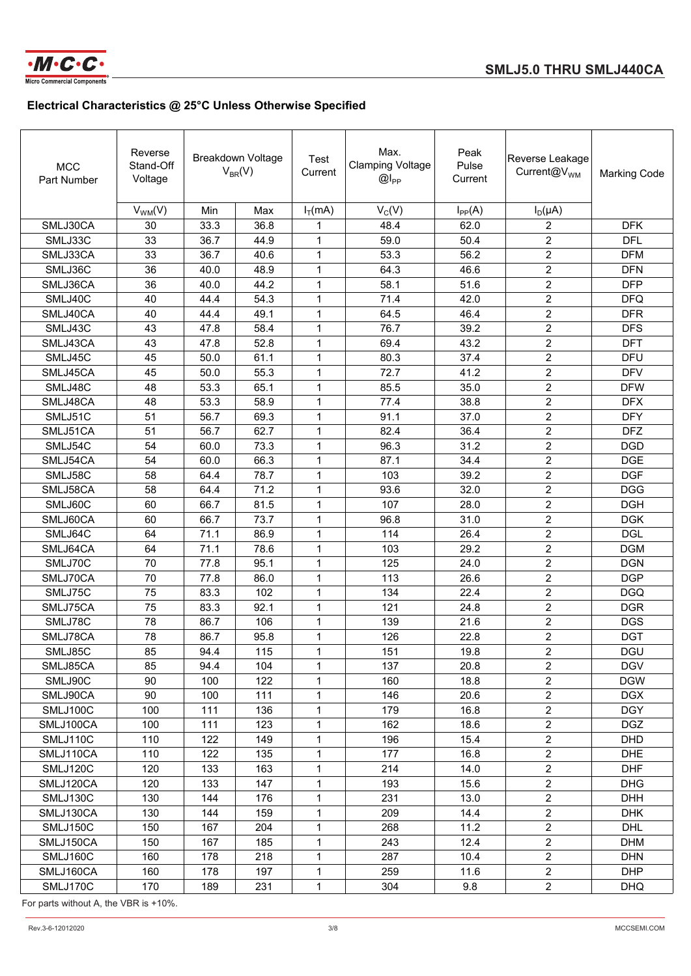

| <b>MCC</b><br>Part Number | Reverse<br>Stand-Off<br>Voltage |      | <b>Breakdown Voltage</b><br>$V_{BR}(V)$ | Test<br>Current | Max.<br><b>Clamping Voltage</b><br>$@I_{PP}$ | Peak<br>Pulse<br>Current | Reverse Leakage<br>Current@V <sub>WM</sub> | <b>Marking Code</b> |
|---------------------------|---------------------------------|------|-----------------------------------------|-----------------|----------------------------------------------|--------------------------|--------------------------------------------|---------------------|
|                           | $V_{WM}(V)$                     | Min  | Max                                     | $I_T(mA)$       | $V_C(V)$                                     | $I_{PP}(A)$              | $I_D(\mu A)$                               |                     |
| SMLJ30CA                  | 30                              | 33.3 | 36.8                                    | 1               | 48.4                                         | 62.0                     | 2                                          | <b>DFK</b>          |
| SMLJ33C                   | 33                              | 36.7 | 44.9                                    | $\mathbf{1}$    | 59.0                                         | 50.4                     | $\overline{2}$                             | <b>DFL</b>          |
| SMLJ33CA                  | 33                              | 36.7 | 40.6                                    | 1               | 53.3                                         | 56.2                     | $\overline{2}$                             | <b>DFM</b>          |
| SMLJ36C                   | 36                              | 40.0 | 48.9                                    | 1               | 64.3                                         | 46.6                     | $\overline{c}$                             | <b>DFN</b>          |
| SMLJ36CA                  | 36                              | 40.0 | 44.2                                    | 1               | 58.1                                         | 51.6                     | $\overline{c}$                             | <b>DFP</b>          |
| SMLJ40C                   | 40                              | 44.4 | 54.3                                    | $\mathbf{1}$    | 71.4                                         | 42.0                     | $\overline{c}$                             | <b>DFQ</b>          |
| SMLJ40CA                  | 40                              | 44.4 | 49.1                                    | $\mathbf{1}$    | 64.5                                         | 46.4                     | $\overline{2}$                             | <b>DFR</b>          |
| SMLJ43C                   | 43                              | 47.8 | 58.4                                    | $\mathbf{1}$    | 76.7                                         | 39.2                     | $\overline{2}$                             | <b>DFS</b>          |
| SMLJ43CA                  | 43                              | 47.8 | 52.8                                    | $\mathbf{1}$    | 69.4                                         | 43.2                     | $\overline{c}$                             | <b>DFT</b>          |
| SMLJ45C                   | 45                              | 50.0 | 61.1                                    | 1               | 80.3                                         | 37.4                     | $\overline{c}$                             | <b>DFU</b>          |
| SMLJ45CA                  | 45                              | 50.0 | 55.3                                    | $\mathbf{1}$    | 72.7                                         | 41.2                     | $\overline{2}$                             | <b>DFV</b>          |
| SMLJ48C                   | 48                              | 53.3 | 65.1                                    | $\mathbf{1}$    | 85.5                                         | 35.0                     | $\overline{2}$                             | <b>DFW</b>          |
| SMLJ48CA                  | 48                              | 53.3 | 58.9                                    | $\mathbf{1}$    | 77.4                                         | 38.8                     | $\overline{2}$                             | <b>DFX</b>          |
| SMLJ51C                   | 51                              | 56.7 | 69.3                                    | 1               | 91.1                                         | 37.0                     | $\overline{c}$                             | <b>DFY</b>          |
| SMLJ51CA                  | 51                              | 56.7 | 62.7                                    | 1               | 82.4                                         | 36.4                     | $\overline{c}$                             | <b>DFZ</b>          |
| SMLJ54C                   | 54                              | 60.0 | 73.3                                    | $\mathbf{1}$    | 96.3                                         | 31.2                     | $\overline{2}$                             | <b>DGD</b>          |
| SMLJ54CA                  | 54                              | 60.0 | 66.3                                    | 1               | 87.1                                         | 34.4                     | $\overline{2}$                             | <b>DGE</b>          |
| SMLJ58C                   | 58                              | 64.4 | 78.7                                    | $\mathbf{1}$    | 103                                          | 39.2                     | 2                                          | <b>DGF</b>          |
| SMLJ58CA                  | 58                              | 64.4 | 71.2                                    | $\mathbf{1}$    | 93.6                                         | 32.0                     | 2                                          | <b>DGG</b>          |
| SMLJ60C                   | 60                              | 66.7 | 81.5                                    | $\mathbf{1}$    | 107                                          | 28.0                     | $\overline{2}$                             | <b>DGH</b>          |
| SMLJ60CA                  | 60                              | 66.7 | 73.7                                    | 1               | 96.8                                         | 31.0                     | $\overline{2}$                             | <b>DGK</b>          |
| SMLJ64C                   | 64                              | 71.1 | 86.9                                    | 1               | 114                                          | 26.4                     | $\overline{c}$                             | <b>DGL</b>          |
| SMLJ64CA                  | 64                              | 71.1 | 78.6                                    | 1               | 103                                          | 29.2                     | $\overline{c}$                             | <b>DGM</b>          |
| SMLJ70C                   | 70                              | 77.8 | 95.1                                    | 1               | 125                                          | 24.0                     | $\overline{c}$                             | <b>DGN</b>          |
| SMLJ70CA                  | 70                              | 77.8 | 86.0                                    | $\mathbf{1}$    | 113                                          | 26.6                     | $\overline{2}$                             | <b>DGP</b>          |
| SMLJ75C                   | 75                              | 83.3 | 102                                     | 1               | 134                                          | 22.4                     | $\overline{2}$                             | <b>DGQ</b>          |
| SMLJ75CA                  | 75                              | 83.3 | 92.1                                    | $\mathbf{1}$    | 121                                          | 24.8                     | $\overline{c}$                             | <b>DGR</b>          |
| SMLJ78C                   | 78                              | 86.7 | 106                                     | 1               | 139                                          | 21.6                     | $\overline{c}$                             | <b>DGS</b>          |
| SMLJ78CA                  | 78                              | 86.7 | 95.8                                    | 1               | 126                                          | 22.8                     | $\overline{2}$                             | <b>DGT</b>          |
| SMLJ85C                   | 85                              | 94.4 | 115                                     | $\mathbf{1}$    | 151                                          | 19.8                     | $\overline{2}$                             | <b>DGU</b>          |
| SMLJ85CA                  | 85                              | 94.4 | 104                                     | 1               | 137                                          | 20.8                     | $\overline{2}$                             | <b>DGV</b>          |
| SMLJ90C                   | 90                              | 100  | 122                                     | 1               | 160                                          | 18.8                     | $\overline{2}$                             | <b>DGW</b>          |
| SMLJ90CA                  | 90                              | 100  | 111                                     | $\mathbf{1}$    | 146                                          | 20.6                     | $\overline{2}$                             | <b>DGX</b>          |
| SMLJ100C                  | 100                             | 111  | 136                                     | 1               | 179                                          | 16.8                     | $\overline{2}$                             | <b>DGY</b>          |
| SMLJ100CA                 | 100                             | 111  | 123                                     | 1               | 162                                          | 18.6                     | $\overline{2}$                             | <b>DGZ</b>          |
| SMLJ110C                  | 110                             | 122  | 149                                     | 1               | 196                                          | 15.4                     | $\overline{2}$                             | <b>DHD</b>          |
| SMLJ110CA                 | 110                             | 122  | 135                                     | 1               | 177                                          | 16.8                     | $\overline{2}$                             | <b>DHE</b>          |
| SMLJ120C                  | 120                             | 133  | 163                                     | $\mathbf 1$     | 214                                          | 14.0                     | $\overline{c}$                             | <b>DHF</b>          |
| SMLJ120CA                 | 120                             | 133  | 147                                     | 1               | 193                                          | 15.6                     | $\overline{2}$                             | <b>DHG</b>          |
| SMLJ130C                  | 130                             | 144  | 176                                     | $\mathbf 1$     | 231                                          | 13.0                     | $\overline{2}$                             | <b>DHH</b>          |
| SMLJ130CA                 | 130                             | 144  | 159                                     | $\mathbf{1}$    | 209                                          | 14.4                     | $\overline{c}$                             | <b>DHK</b>          |
| SMLJ150C                  | 150                             | 167  | 204                                     | 1               | 268                                          | 11.2                     | $\overline{2}$                             | <b>DHL</b>          |
| SMLJ150CA                 | 150                             | 167  | 185                                     | 1               | 243                                          | 12.4                     | $\overline{2}$                             | <b>DHM</b>          |
| SMLJ160C                  | 160                             | 178  | 218                                     | 1               | 287                                          | 10.4                     | $\overline{2}$                             | <b>DHN</b>          |
| SMLJ160CA                 | 160                             | 178  | 197                                     | 1               | 259                                          | 11.6                     | $\overline{2}$                             | <b>DHP</b>          |
| SMLJ170C                  | 170                             | 189  | 231                                     | $\mathbf 1$     | 304                                          | 9.8                      | $\overline{2}$                             | <b>DHQ</b>          |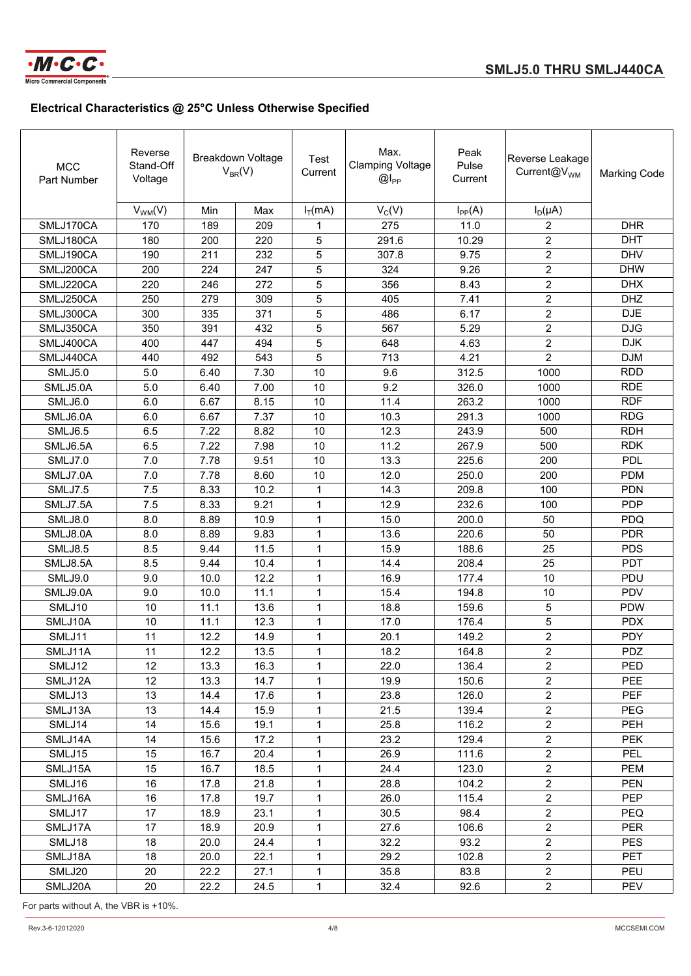

| <b>MCC</b><br>Part Number | Reverse<br>Stand-Off<br>Voltage |      | Breakdown Voltage<br>$V_{BR}(V)$ | Test<br>Current | Max.<br><b>Clamping Voltage</b><br>$@I_{PP}$ | Peak<br>Pulse<br>Current | Reverse Leakage<br>Current@V <sub>WM</sub> | <b>Marking Code</b> |
|---------------------------|---------------------------------|------|----------------------------------|-----------------|----------------------------------------------|--------------------------|--------------------------------------------|---------------------|
|                           | $V_{WM}(V)$                     | Min  | Max                              | $I_T(mA)$       | $V_C(V)$                                     | $I_{PP}(A)$              | $I_D(\mu A)$                               |                     |
| SMLJ170CA                 | 170                             | 189  | 209                              | 1               | 275                                          | 11.0                     | 2                                          | <b>DHR</b>          |
| SMLJ180CA                 | 180                             | 200  | 220                              | 5               | 291.6                                        | 10.29                    | $\overline{c}$                             | <b>DHT</b>          |
| SMLJ190CA                 | 190                             | 211  | 232                              | 5               | 307.8                                        | 9.75                     | $\overline{2}$                             | <b>DHV</b>          |
| SMLJ200CA                 | 200                             | 224  | 247                              | 5               | 324                                          | 9.26                     | $\overline{c}$                             | <b>DHW</b>          |
| SMLJ220CA                 | 220                             | 246  | 272                              | 5               | 356                                          | 8.43                     | $\overline{c}$                             | <b>DHX</b>          |
| SMLJ250CA                 | 250                             | 279  | 309                              | $\mathbf 5$     | 405                                          | 7.41                     | $\overline{2}$                             | <b>DHZ</b>          |
| SMLJ300CA                 | 300                             | 335  | 371                              | 5               | 486                                          | 6.17                     | $\overline{2}$                             | <b>DJE</b>          |
| SMLJ350CA                 | 350                             | 391  | 432                              | 5               | 567                                          | 5.29                     | $\overline{c}$                             | <b>DJG</b>          |
| SMLJ400CA                 | 400                             | 447  | 494                              | 5               | 648                                          | 4.63                     | $\overline{2}$                             | <b>DJK</b>          |
| SMLJ440CA                 | 440                             | 492  | 543                              | 5               | 713                                          | 4.21                     | $\overline{2}$                             | <b>DJM</b>          |
| <b>SMLJ5.0</b>            | 5.0                             | 6.40 | 7.30                             | 10              | 9.6                                          | 312.5                    | 1000                                       | <b>RDD</b>          |
| SMLJ5.0A                  | 5.0                             | 6.40 | 7.00                             | 10              | 9.2                                          | 326.0                    | 1000                                       | <b>RDE</b>          |
| SMLJ6.0                   | 6.0                             | 6.67 | 8.15                             | 10              | 11.4                                         | 263.2                    | 1000                                       | <b>RDF</b>          |
| SMLJ6.0A                  | 6.0                             | 6.67 | 7.37                             | 10              | 10.3                                         | 291.3                    | 1000                                       | <b>RDG</b>          |
| SMLJ6.5                   | 6.5                             | 7.22 | 8.82                             | 10              | 12.3                                         | 243.9                    | 500                                        | <b>RDH</b>          |
| SMLJ6.5A                  | 6.5                             | 7.22 | 7.98                             | 10              | 11.2                                         | 267.9                    | 500                                        | <b>RDK</b>          |
| SMLJ7.0                   | 7.0                             | 7.78 | 9.51                             | 10              | 13.3                                         | 225.6                    | 200                                        | PDL                 |
| SMLJ7.0A                  | 7.0                             | 7.78 | 8.60                             | 10              | 12.0                                         | 250.0                    | 200                                        | <b>PDM</b>          |
| <b>SMLJ7.5</b>            | 7.5                             | 8.33 | 10.2                             | $\mathbf{1}$    | 14.3                                         | 209.8                    | 100                                        | <b>PDN</b>          |
| SMLJ7.5A                  | 7.5                             | 8.33 | 9.21                             | $\mathbf{1}$    | 12.9                                         | 232.6                    | 100                                        | <b>PDP</b>          |
| SMLJ8.0                   | 8.0                             | 8.89 | 10.9                             | $\mathbf{1}$    | 15.0                                         | 200.0                    | 50                                         | PDQ                 |
| SMLJ8.0A                  | 8.0                             | 8.89 | 9.83                             | $\mathbf{1}$    | 13.6                                         | 220.6                    | 50                                         | <b>PDR</b>          |
| SMLJ8.5                   | 8.5                             | 9.44 | 11.5                             | 1               | 15.9                                         | 188.6                    | 25                                         | <b>PDS</b>          |
| SMLJ8.5A                  | 8.5                             | 9.44 | 10.4                             | 1               | 14.4                                         | 208.4                    | 25                                         | <b>PDT</b>          |
| SMLJ9.0                   | 9.0                             | 10.0 | 12.2                             | 1               | 16.9                                         | 177.4                    | 10                                         | PDU                 |
| SMLJ9.0A                  | 9.0                             | 10.0 | 11.1                             | $\mathbf{1}$    | 15.4                                         | 194.8                    | 10                                         | <b>PDV</b>          |
| SMLJ10                    | 10                              | 11.1 | 13.6                             | $\mathbf{1}$    | 18.8                                         | 159.6                    | 5                                          | <b>PDW</b>          |
| SMLJ10A                   | 10                              | 11.1 | 12.3                             | 1               | 17.0                                         | 176.4                    | 5                                          | <b>PDX</b>          |
| SMLJ11                    | 11                              | 12.2 | 14.9                             | 1               | 20.1                                         | 149.2                    | $\overline{c}$                             | <b>PDY</b>          |
| SMLJ11A                   | 11                              | 12.2 | 13.5                             | $\mathbf{1}$    | 18.2                                         | 164.8                    | $\overline{c}$                             | PDZ                 |
| SMLJ12                    | 12                              | 13.3 | 16.3                             | 1               | 22.0                                         | 136.4                    | $\overline{2}$                             | PED                 |
| SMLJ12A                   | 12                              | 13.3 | 14.7                             | 1               | 19.9                                         | 150.6                    | $\overline{c}$                             | <b>PEE</b>          |
| SMLJ13                    | 13                              | 14.4 | 17.6                             | 1               | 23.8                                         | 126.0                    | $\overline{a}$                             | <b>PEF</b>          |
| SMLJ13A                   | 13                              | 14.4 | 15.9                             | 1               | 21.5                                         | 139.4                    | $\overline{a}$                             | <b>PEG</b>          |
| SMLJ14                    | 14                              | 15.6 | 19.1                             | 1               | 25.8                                         | 116.2                    | $\overline{c}$                             | <b>PEH</b>          |
| SMLJ14A                   | 14                              | 15.6 | 17.2                             | 1               | 23.2                                         | 129.4                    | $\overline{a}$                             | <b>PEK</b>          |
| SMLJ15                    | 15                              | 16.7 | 20.4                             | $\mathbf 1$     | 26.9                                         | 111.6                    | $\overline{a}$                             | PEL                 |
| SMLJ15A                   | 15                              | 16.7 | 18.5                             | 1               | 24.4                                         | 123.0                    | $\overline{2}$                             | <b>PEM</b>          |
| SMLJ16                    | 16                              | 17.8 | 21.8                             | 1               | 28.8                                         | 104.2                    | $\overline{c}$                             | <b>PEN</b>          |
| SMLJ16A                   | 16                              | 17.8 | 19.7                             | 1               | 26.0                                         | 115.4                    | $\overline{2}$                             | <b>PEP</b>          |
| SMLJ17                    | 17                              | 18.9 | 23.1                             | 1               | 30.5                                         | 98.4                     | $\overline{2}$                             | <b>PEQ</b>          |
| SMLJ17A                   | 17                              | 18.9 | 20.9                             | 1               | 27.6                                         | 106.6                    | $\overline{2}$                             | <b>PER</b>          |
| SMLJ18                    | 18                              | 20.0 | 24.4                             | 1               | 32.2                                         | 93.2                     | $\overline{2}$                             | <b>PES</b>          |
| SMLJ18A                   | 18                              | 20.0 | 22.1                             | 1               | 29.2                                         | 102.8                    | $\overline{c}$                             | <b>PET</b>          |
| SMLJ20                    | 20                              | 22.2 | 27.1                             | 1               | 35.8                                         | 83.8                     | $\overline{2}$                             | PEU                 |
| SMLJ20A                   | 20                              | 22.2 | 24.5                             | $\mathbf{1}$    | 32.4                                         | 92.6                     | $\overline{a}$                             | <b>PEV</b>          |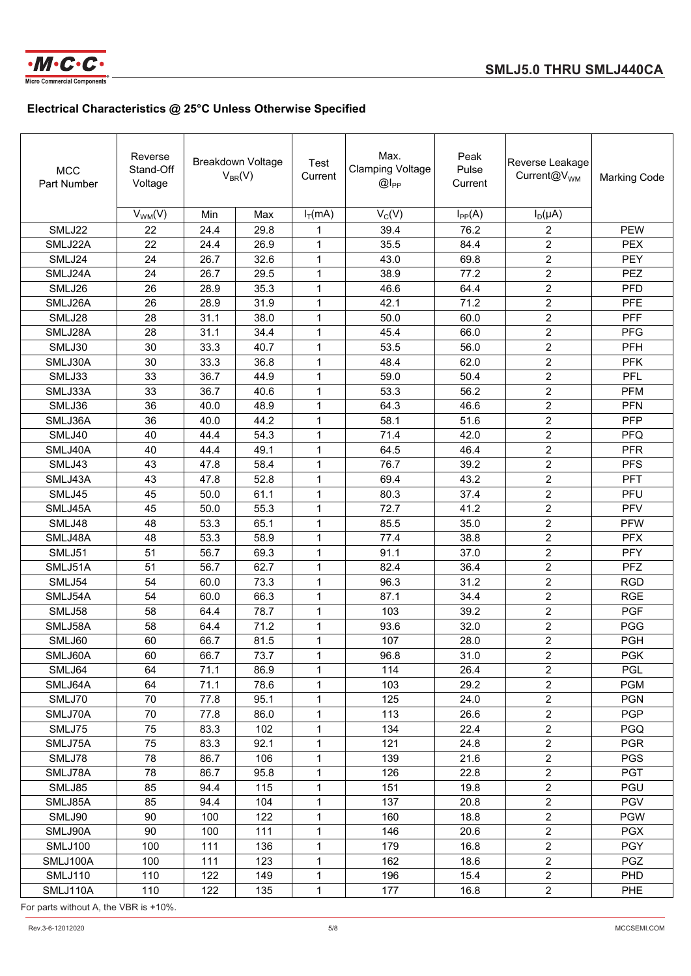

| <b>MCC</b><br>Part Number | Reverse<br>Stand-Off<br>Voltage |      | Breakdown Voltage<br>$V_{BR}(V)$ | Test<br>Current | Max.<br><b>Clamping Voltage</b><br>$@I_{PP}$ | Peak<br>Pulse<br>Current | Reverse Leakage<br>Current@V <sub>WM</sub> | <b>Marking Code</b> |
|---------------------------|---------------------------------|------|----------------------------------|-----------------|----------------------------------------------|--------------------------|--------------------------------------------|---------------------|
|                           | $V_{WM}(V)$                     | Min  | Max                              | $I_T(mA)$       | $V_C(V)$                                     | $I_{PP}(A)$              | $I_D(\mu A)$                               |                     |
| SMLJ22                    | 22                              | 24.4 | 29.8                             | 1               | 39.4                                         | 76.2                     | 2                                          | <b>PEW</b>          |
| SMLJ22A                   | 22                              | 24.4 | 26.9                             | 1               | 35.5                                         | 84.4                     | $\overline{2}$                             | <b>PEX</b>          |
| SMLJ24                    | 24                              | 26.7 | 32.6                             | 1               | 43.0                                         | 69.8                     | $\overline{2}$                             | <b>PEY</b>          |
| SMLJ24A                   | 24                              | 26.7 | 29.5                             | 1               | 38.9                                         | 77.2                     | $\overline{c}$                             | <b>PEZ</b>          |
| SMLJ26                    | 26                              | 28.9 | 35.3                             | 1               | 46.6                                         | 64.4                     | $\overline{2}$                             | <b>PFD</b>          |
| SMLJ26A                   | 26                              | 28.9 | 31.9                             | 1               | 42.1                                         | 71.2                     | $\overline{2}$                             | <b>PFE</b>          |
| SMLJ28                    | 28                              | 31.1 | 38.0                             | 1               | 50.0                                         | 60.0                     | $\overline{2}$                             | PFF                 |
| SMLJ28A                   | 28                              | 31.1 | 34.4                             | 1               | 45.4                                         | 66.0                     | $\overline{c}$                             | PFG                 |
| SMLJ30                    | 30                              | 33.3 | 40.7                             | 1               | 53.5                                         | 56.0                     | $\overline{c}$                             | <b>PFH</b>          |
| SMLJ30A                   | 30                              | 33.3 | 36.8                             | 1               | 48.4                                         | 62.0                     | $\overline{2}$                             | <b>PFK</b>          |
| SMLJ33                    | 33                              | 36.7 | 44.9                             | 1               | 59.0                                         | 50.4                     | $\overline{2}$                             | <b>PFL</b>          |
| SMLJ33A                   | 33                              | 36.7 | 40.6                             | 1               | 53.3                                         | 56.2                     | $\overline{2}$                             | <b>PFM</b>          |
| SMLJ36                    | 36                              | 40.0 | 48.9                             | $\mathbf{1}$    | 64.3                                         | 46.6                     | $\overline{2}$                             | <b>PFN</b>          |
| SMLJ36A                   | 36                              | 40.0 | 44.2                             | $\mathbf{1}$    | 58.1                                         | 51.6                     | $\overline{2}$                             | <b>PFP</b>          |
| SMLJ40                    | 40                              | 44.4 | 54.3                             | $\mathbf{1}$    | 71.4                                         | 42.0                     | $\overline{2}$                             | <b>PFQ</b>          |
| SMLJ40A                   | 40                              | 44.4 | 49.1                             | $\mathbf{1}$    | 64.5                                         | 46.4                     | $\overline{c}$                             | <b>PFR</b>          |
| SMLJ43                    | 43                              | 47.8 | 58.4                             | 1               | 76.7                                         | 39.2                     | $\boldsymbol{2}$                           | <b>PFS</b>          |
| SMLJ43A                   | 43                              | 47.8 | 52.8                             | $\mathbf{1}$    | 69.4                                         | 43.2                     | $\overline{c}$                             | PFT                 |
| SMLJ45                    | 45                              | 50.0 | 61.1                             | $\mathbf{1}$    | 80.3                                         | 37.4                     | $\overline{2}$                             | PFU                 |
| SMLJ45A                   | 45                              | 50.0 | 55.3                             | 1               | 72.7                                         | 41.2                     | $\overline{c}$                             | <b>PFV</b>          |
| SMLJ48                    | 48                              | 53.3 | 65.1                             | $\mathbf{1}$    | 85.5                                         | 35.0                     | $\overline{c}$                             | <b>PFW</b>          |
| SMLJ48A                   | 48                              | 53.3 | 58.9                             | $\mathbf{1}$    | 77.4                                         | 38.8                     | $\overline{c}$                             | <b>PFX</b>          |
| SMLJ51                    | 51                              | 56.7 | 69.3                             | $\mathbf{1}$    | 91.1                                         | 37.0                     | $\overline{2}$                             | <b>PFY</b>          |
| SMLJ51A                   | 51                              | 56.7 | 62.7                             | $\mathbf{1}$    | 82.4                                         | 36.4                     | $\overline{2}$                             | PFZ                 |
| SMLJ54                    | 54                              | 60.0 | 73.3                             | $\mathbf{1}$    | 96.3                                         | 31.2                     | $\overline{c}$                             | <b>RGD</b>          |
| SMLJ54A                   | 54                              | 60.0 | 66.3                             | $\mathbf{1}$    | 87.1                                         | 34.4                     | $\boldsymbol{2}$                           | <b>RGE</b>          |
| SMLJ58                    | 58                              | 64.4 | 78.7                             | $\mathbf{1}$    | 103                                          | 39.2                     | $\overline{c}$                             | <b>PGF</b>          |
| SMLJ58A                   | 58                              | 64.4 | 71.2                             | $\mathbf{1}$    | 93.6                                         | 32.0                     | $\overline{c}$                             | <b>PGG</b>          |
| SMLJ60                    | 60                              | 66.7 | 81.5                             | $\mathbf{1}$    | 107                                          | 28.0                     | $\overline{2}$                             | <b>PGH</b>          |
| SMLJ60A                   | 60                              | 66.7 | 73.7                             | $\mathbf{1}$    | 96.8                                         | 31.0                     | $\boldsymbol{2}$                           | <b>PGK</b>          |
| SMLJ64                    | 64                              | 71.1 | 86.9                             | $\mathbf{1}$    | 114                                          | 26.4                     | $\overline{2}$                             | <b>PGL</b>          |
| SMLJ64A                   | 64                              | 71.1 | 78.6                             | 1               | 103                                          | 29.2                     | $\overline{2}$                             | <b>PGM</b>          |
| SMLJ70                    | 70                              | 77.8 | 95.1                             | $\mathbf{1}$    | 125                                          | 24.0                     | $\overline{2}$                             | <b>PGN</b>          |
| SMLJ70A                   | 70                              | 77.8 | 86.0                             | $\mathbf{1}$    | 113                                          | 26.6                     | $\overline{2}$                             | <b>PGP</b>          |
| SMLJ75                    | 75                              | 83.3 | 102                              | $\mathbf{1}$    | 134                                          | 22.4                     | $\overline{c}$                             | <b>PGQ</b>          |
| SMLJ75A                   | 75                              | 83.3 | 92.1                             | $\mathbf{1}$    | 121                                          | 24.8                     | $\overline{2}$                             | <b>PGR</b>          |
| SMLJ78                    | 78                              | 86.7 | 106                              | 1               | 139                                          | 21.6                     | $\overline{2}$                             | <b>PGS</b>          |
| SMLJ78A                   | 78                              | 86.7 | 95.8                             | 1               | 126                                          | 22.8                     | $\overline{2}$                             | <b>PGT</b>          |
| SMLJ85                    | 85                              | 94.4 | 115                              | 1               | 151                                          | 19.8                     | $\overline{2}$                             | PGU                 |
| SMLJ85A                   | 85                              | 94.4 | 104                              | $\mathbf{1}$    | 137                                          | 20.8                     | $\overline{2}$                             | <b>PGV</b>          |
| SMLJ90                    | 90                              | 100  | 122                              | $\mathbf{1}$    | 160                                          | 18.8                     | $\overline{2}$                             | <b>PGW</b>          |
| SMLJ90A                   | 90                              | 100  | 111                              | $\mathbf{1}$    | 146                                          | 20.6                     | $\overline{2}$                             | <b>PGX</b>          |
| <b>SMLJ100</b>            | 100                             | 111  | 136                              | 1               | 179                                          | 16.8                     | $\overline{2}$                             | <b>PGY</b>          |
| SMLJ100A                  | 100                             | 111  | 123                              | 1               | 162                                          | 18.6                     | $\overline{2}$                             | <b>PGZ</b>          |
| SMLJ110                   | 110                             | 122  | 149                              | $\mathbf{1}$    | 196                                          | 15.4                     | $\overline{2}$                             | <b>PHD</b>          |
| SMLJ110A                  | 110                             | 122  | 135                              | 1               | 177                                          | 16.8                     | $\overline{2}$                             | PHE                 |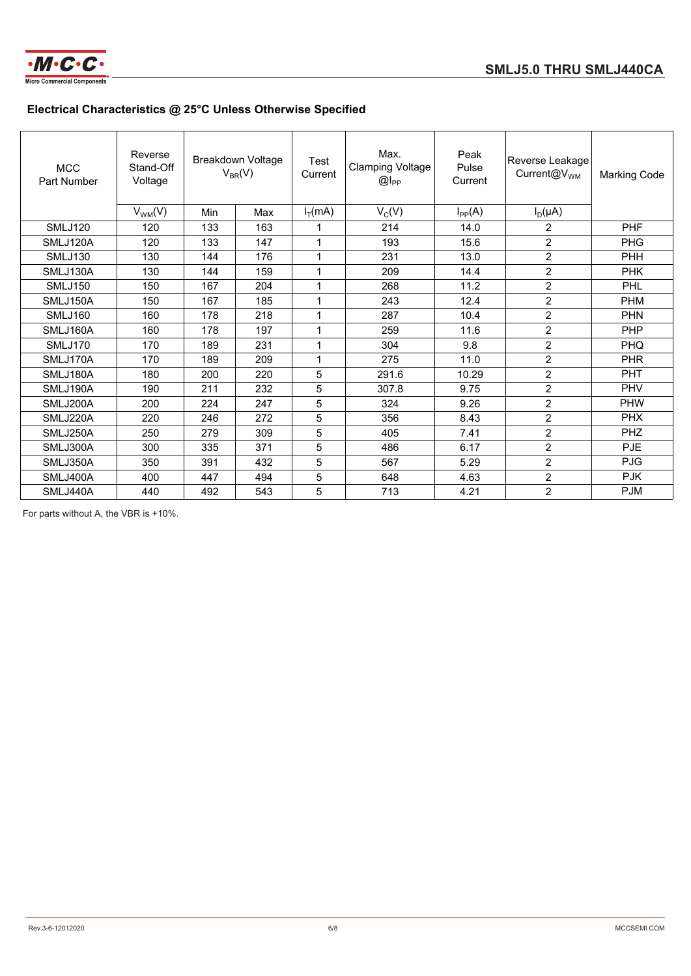

| <b>MCC</b><br>Part Number | Reverse<br>Stand-Off<br>Voltage |            | Breakdown Voltage<br>$V_{BR}(V)$ | Test<br>Current | Max.<br><b>Clamping Voltage</b><br>$@I_{PP}$ | Peak<br>Pulse<br>Current | Reverse Leakage<br>Current@V <sub>WM</sub> | <b>Marking Code</b> |
|---------------------------|---------------------------------|------------|----------------------------------|-----------------|----------------------------------------------|--------------------------|--------------------------------------------|---------------------|
|                           | $V_{WM}(V)$                     | <b>Min</b> | Max                              | $I_T(mA)$       | $V_C(V)$                                     | $I_{PP}(A)$              | $I_D(\mu A)$                               |                     |
| <b>SMLJ120</b>            | 120                             | 133        | 163                              | 1               | 214                                          | 14.0                     | $\overline{2}$                             | <b>PHF</b>          |
| SMLJ120A                  | 120                             | 133        | 147                              | 1               | 193                                          | 15.6                     | $\overline{2}$                             | <b>PHG</b>          |
| SMLJ130                   | 130                             | 144        | 176                              | 1               | 231                                          | 13.0                     | $\overline{2}$                             | <b>PHH</b>          |
| SMLJ130A                  | 130                             | 144        | 159                              | 1               | 209                                          | 14.4                     | $\overline{c}$                             | <b>PHK</b>          |
| <b>SMLJ150</b>            | 150                             | 167        | 204                              | 1               | 268                                          | 11.2                     | $\overline{2}$                             | PHL                 |
| SMLJ150A                  | 150                             | 167        | 185                              | 1               | 243                                          | 12.4                     | $\overline{2}$                             | <b>PHM</b>          |
| SMLJ160                   | 160                             | 178        | 218                              | 1               | 287                                          | 10.4                     | $\overline{2}$                             | <b>PHN</b>          |
| SMLJ160A                  | 160                             | 178        | 197                              | 1               | 259                                          | 11.6                     | $\overline{2}$                             | <b>PHP</b>          |
| SMLJ170                   | 170                             | 189        | 231                              | 1               | 304                                          | 9.8                      | $\overline{2}$                             | <b>PHQ</b>          |
| SMLJ170A                  | 170                             | 189        | 209                              | 1               | 275                                          | 11.0                     | $\overline{2}$                             | <b>PHR</b>          |
| SMLJ180A                  | 180                             | 200        | 220                              | 5               | 291.6                                        | 10.29                    | $\overline{2}$                             | <b>PHT</b>          |
| SMLJ190A                  | 190                             | 211        | 232                              | 5               | 307.8                                        | 9.75                     | $\overline{2}$                             | <b>PHV</b>          |
| SMLJ200A                  | 200                             | 224        | 247                              | 5               | 324                                          | 9.26                     | $\overline{2}$                             | <b>PHW</b>          |
| SMLJ220A                  | 220                             | 246        | 272                              | 5               | 356                                          | 8.43                     | $\overline{2}$                             | <b>PHX</b>          |
| SMLJ250A                  | 250                             | 279        | 309                              | 5               | 405                                          | 7.41                     | $\overline{2}$                             | <b>PHZ</b>          |
| SMLJ300A                  | 300                             | 335        | 371                              | 5               | 486                                          | 6.17                     | $\overline{2}$                             | <b>PJE</b>          |
| SMLJ350A                  | 350                             | 391        | 432                              | 5               | 567                                          | 5.29                     | $\overline{2}$                             | <b>PJG</b>          |
| SMLJ400A                  | 400                             | 447        | 494                              | 5               | 648                                          | 4.63                     | $\overline{2}$                             | <b>PJK</b>          |
| SMLJ440A                  | 440                             | 492        | 543                              | 5               | 713                                          | 4.21                     | $\overline{2}$                             | <b>PJM</b>          |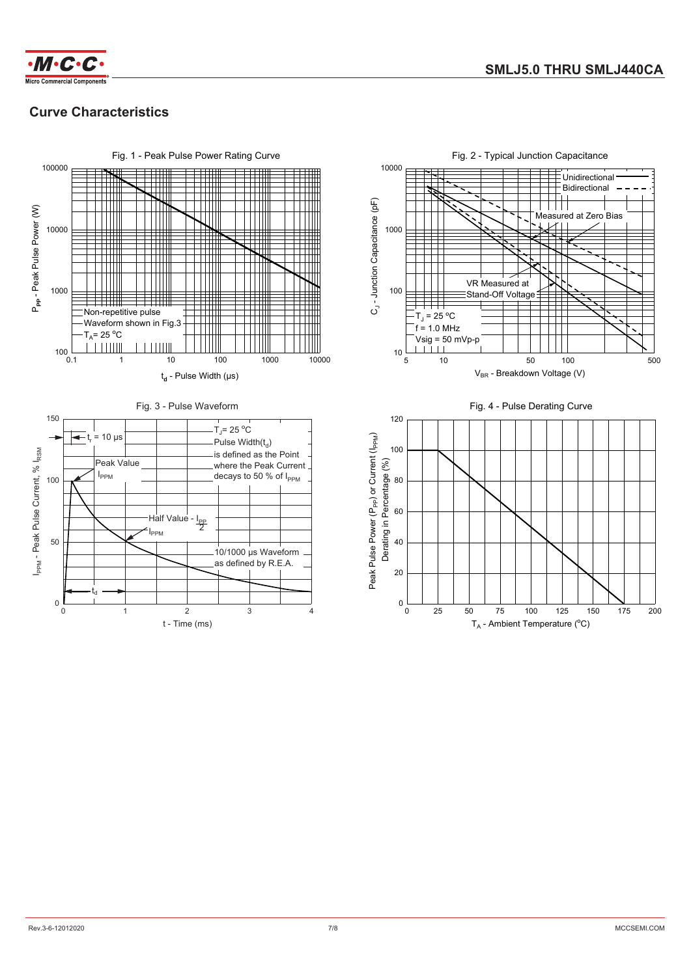



## **Curve Characteristics**



Fig. 2 - Typical Junction Capacitance

10000



T<sub>A</sub> - Ambient Temperature (°C)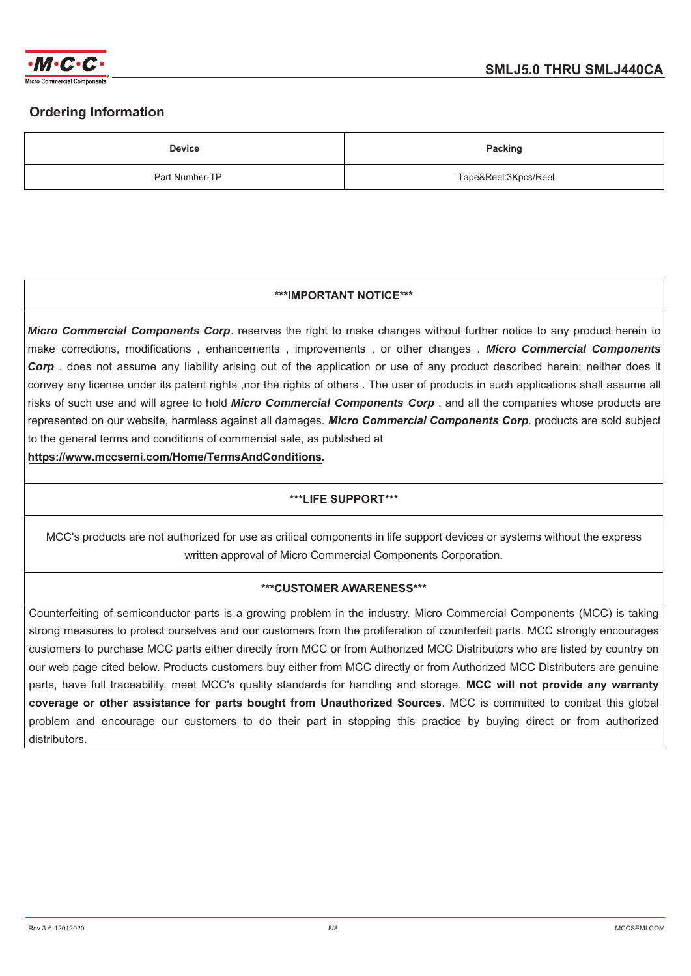

## **Ordering Information**

| <b>Device</b>  | <b>Packing</b>       |
|----------------|----------------------|
| Part Number-TP | Tape&Reel:3Kpcs/Reel |

#### **\*\*\*IMPORTANT NOTICE\*\*\***

*Micro Commercial Components Corp*. reserves the right to make changes without further notice to any product herein to make corrections, modifications, enhancements, improvements, or other changes. Micro Commercial Components **Corp** does not assume any liability arising out of the application or use of any product described herein; neither does it convey any license under its patent rights ,nor the rights of others. The user of products in such applications shall assume all risks of such use and will agree to hold *Micro Commercial Components Corp* . and all the companies whose products are represented on our website, harmless against all damages. Micro Commercial Components Corp. products are sold subject to the general terms and conditions of commercial sale, as published at

https://www.mccsemi.com/Home/TermsAndConditions.

### **\*\*\*LIFE SUPPORT\*\*\***

MCC's products are not authorized for use as critical components in life support devices or systems without the express written approval of Micro Commercial Components Corporation.

### **\*\*\*CUSTOMER AWARENESS\*\*\***

Counterfeiting of semiconductor parts is a growing problem in the industry. Micro Commercial Components (MCC) is taking strong measures to protect ourselves and our customers from the proliferation of counterfeit parts. MCC strongly encourages customers to purchase MCC parts either directly from MCC or from Authorized MCC Distributors who are listed by country on our web page cited below. Products customers buy either from MCC directly or from Authorized MCC Distributors are genuine parts, have full traceability, meet MCC's quality standards for handling and storage. MCC will not provide any warranty coverage or other assistance for parts bought from Unauthorized Sources. MCC is committed to combat this global problem and encourage our customers to do their part in stopping this practice by buying direct or from authorized distributors.